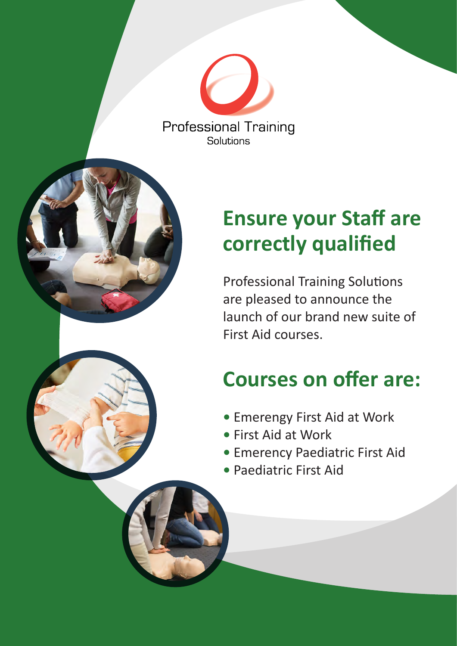**Professional Training** Solutions

# **Ensure your Staff are correctly qualified**

Professional Training Solutions are pleased to announce the launch of our brand new suite of First Aid courses.

## **Courses on offer are:**

- Emerengy First Aid at Work
- First Aid at Work
- Emerency Paediatric First Aid
- Paediatric First Aid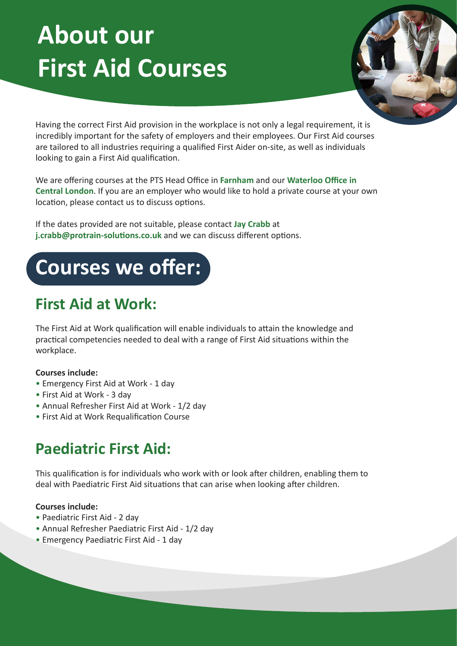# **About our First Aid Courses**



Having the correct First Aid provision in the workplace is not only a legal requirement, it is incredibly important for the safety of employers and their employees. Our First Aid courses are tailored to all industries requiring a qualified First Aider on-site, as well as individuals looking to gain a First Aid qualification.

We are offering courses at the PTS Head Office in **Farnham** and our **Waterloo Office in Central London**. If you are an employer who would like to hold a private course at your own location, please contact us to discuss options.

If the dates provided are not suitable, please contact **Jay Crabb** at **j.crabb@protrain-solutions.co.uk** and we can discuss different options.



## **First Aid at Work:**

The First Aid at Work qualification will enable individuals to attain the knowledge and practical competencies needed to deal with a range of First Aid situations within the workplace.

#### **Courses include:**

- Emergency First Aid at Work 1 day
- First Aid at Work 3 day
- Annual Refresher First Aid at Work 1/2 day
- First Aid at Work Requalification Course

### **Paediatric First Aid:**

This qualification is for individuals who work with or look after children, enabling them to deal with Paediatric First Aid situations that can arise when looking after children.

#### **Courses include:**

- Paediatric First Aid 2 day
- Annual Refresher Paediatric First Aid 1/2 day
- Emergency Paediatric First Aid 1 day